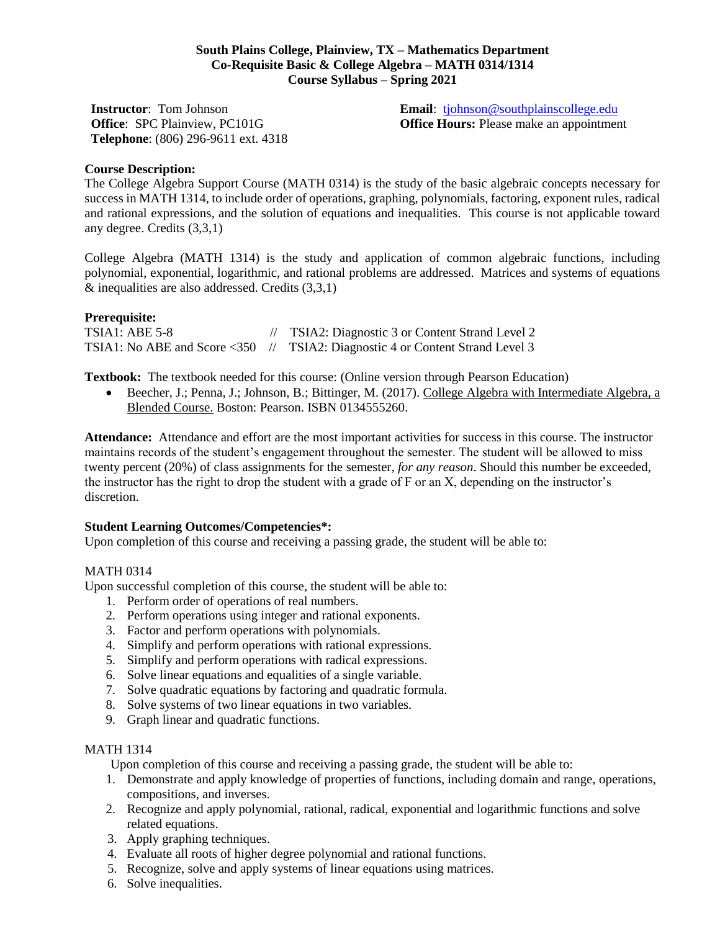## **South Plains College, Plainview, TX – Mathematics Department Co-Requisite Basic & College Algebra – MATH 0314/1314 Course Syllabus – Spring 2021**

**Instructor**: Tom Johnson **Office**: SPC Plainview, PC101G **Telephone**: (806) 296-9611 ext. 4318 **Email**: [tjohnson@southplainscollege.edu](mailto:tjohnson@southplainscollege.edu) **Office Hours:** Please make an appointment

## **Course Description:**

The College Algebra Support Course (MATH 0314) is the study of the basic algebraic concepts necessary for success in MATH 1314, to include order of operations, graphing, polynomials, factoring, exponent rules, radical and rational expressions, and the solution of equations and inequalities. This course is not applicable toward any degree. Credits (3,3,1)

College Algebra (MATH 1314) is the study and application of common algebraic functions, including polynomial, exponential, logarithmic, and rational problems are addressed. Matrices and systems of equations  $&$  inequalities are also addressed. Credits  $(3,3,1)$ 

## **Prerequisite:**

TSIA1: ABE 5-8 // TSIA2: Diagnostic 3 or Content Strand Level 2 TSIA1: No ABE and Score <350 // TSIA2: Diagnostic 4 or Content Strand Level 3

**Textbook:** The textbook needed for this course: (Online version through Pearson Education)

 Beecher, J.; Penna, J.; Johnson, B.; Bittinger, M. (2017). College Algebra with Intermediate Algebra, a Blended Course. Boston: Pearson. ISBN 0134555260.

**Attendance:** Attendance and effort are the most important activities for success in this course. The instructor maintains records of the student's engagement throughout the semester. The student will be allowed to miss twenty percent (20%) of class assignments for the semester, *for any reason*. Should this number be exceeded, the instructor has the right to drop the student with a grade of F or an X, depending on the instructor's discretion.

### **Student Learning Outcomes/Competencies\*:**

Upon completion of this course and receiving a passing grade, the student will be able to:

#### MATH 0314

Upon successful completion of this course, the student will be able to:

- 1. Perform order of operations of real numbers.
- 2. Perform operations using integer and rational exponents.
- 3. Factor and perform operations with polynomials.
- 4. Simplify and perform operations with rational expressions.
- 5. Simplify and perform operations with radical expressions.
- 6. Solve linear equations and equalities of a single variable.
- 7. Solve quadratic equations by factoring and quadratic formula.
- 8. Solve systems of two linear equations in two variables.
- 9. Graph linear and quadratic functions.

# MATH 1314

Upon completion of this course and receiving a passing grade, the student will be able to:

- 1. Demonstrate and apply knowledge of properties of functions, including domain and range, operations, compositions, and inverses.
- 2. Recognize and apply polynomial, rational, radical, exponential and logarithmic functions and solve related equations.
- 3. Apply graphing techniques.
- 4. Evaluate all roots of higher degree polynomial and rational functions.
- 5. Recognize, solve and apply systems of linear equations using matrices.
- 6. Solve inequalities.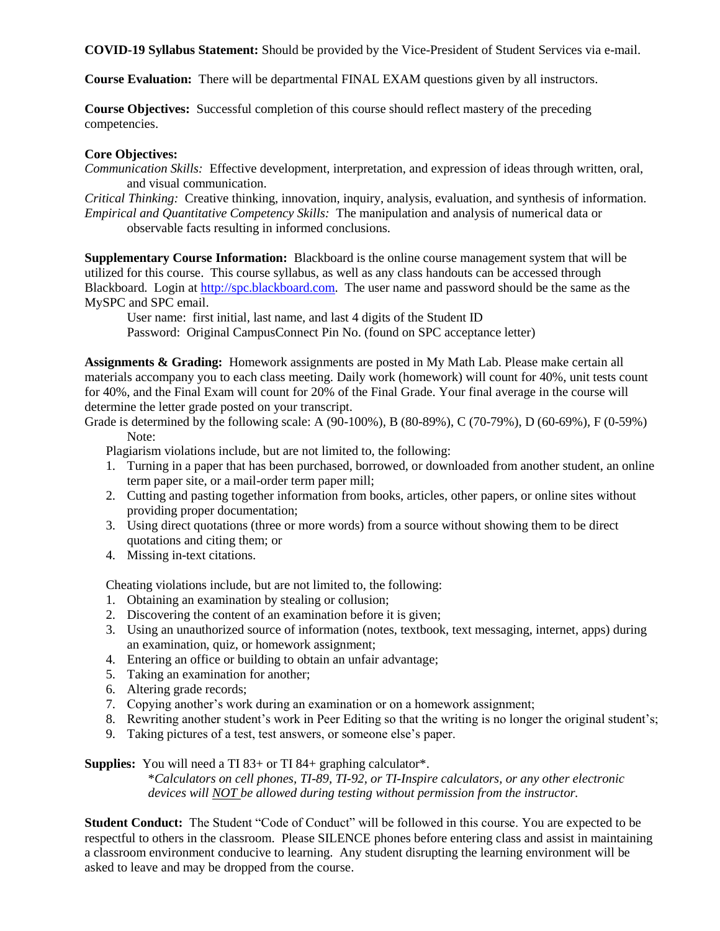**COVID-19 Syllabus Statement:** Should be provided by the Vice-President of Student Services via e-mail.

**Course Evaluation:** There will be departmental FINAL EXAM questions given by all instructors.

**Course Objectives:** Successful completion of this course should reflect mastery of the preceding competencies.

## **Core Objectives:**

*Communication Skills:* Effective development, interpretation, and expression of ideas through written, oral, and visual communication.

*Critical Thinking:* Creative thinking, innovation, inquiry, analysis, evaluation, and synthesis of information. *Empirical and Quantitative Competency Skills:* The manipulation and analysis of numerical data or observable facts resulting in informed conclusions.

**Supplementary Course Information:** Blackboard is the online course management system that will be utilized for this course. This course syllabus, as well as any class handouts can be accessed through Blackboard. Login at [http://spc.blackboard.com.](http://spc.blackboard.com/) The user name and password should be the same as the MySPC and SPC email.

User name: first initial, last name, and last 4 digits of the Student ID Password: Original CampusConnect Pin No. (found on SPC acceptance letter)

**Assignments & Grading:** Homework assignments are posted in My Math Lab. Please make certain all materials accompany you to each class meeting. Daily work (homework) will count for 40%, unit tests count for 40%, and the Final Exam will count for 20% of the Final Grade. Your final average in the course will determine the letter grade posted on your transcript.

Grade is determined by the following scale: A (90-100%), B (80-89%), C (70-79%), D (60-69%), F (0-59%) Note:

Plagiarism violations include, but are not limited to, the following:

- 1. Turning in a paper that has been purchased, borrowed, or downloaded from another student, an online term paper site, or a mail-order term paper mill;
- 2. Cutting and pasting together information from books, articles, other papers, or online sites without providing proper documentation;
- 3. Using direct quotations (three or more words) from a source without showing them to be direct quotations and citing them; or
- 4. Missing in-text citations.

Cheating violations include, but are not limited to, the following:

- 1. Obtaining an examination by stealing or collusion;
- 2. Discovering the content of an examination before it is given;
- 3. Using an unauthorized source of information (notes, textbook, text messaging, internet, apps) during an examination, quiz, or homework assignment;
- 4. Entering an office or building to obtain an unfair advantage;
- 5. Taking an examination for another;
- 6. Altering grade records;
- 7. Copying another's work during an examination or on a homework assignment;
- 8. Rewriting another student's work in Peer Editing so that the writing is no longer the original student's;
- 9. Taking pictures of a test, test answers, or someone else's paper.

**Supplies:** You will need a TI 83+ or TI 84+ graphing calculator\*. \**Calculators on cell phones, TI-89, TI-92, or TI-Inspire calculators, or any other electronic* 

*devices will NOT be allowed during testing without permission from the instructor.*

**Student Conduct:** The Student "Code of Conduct" will be followed in this course. You are expected to be respectful to others in the classroom. Please SILENCE phones before entering class and assist in maintaining a classroom environment conducive to learning. Any student disrupting the learning environment will be asked to leave and may be dropped from the course.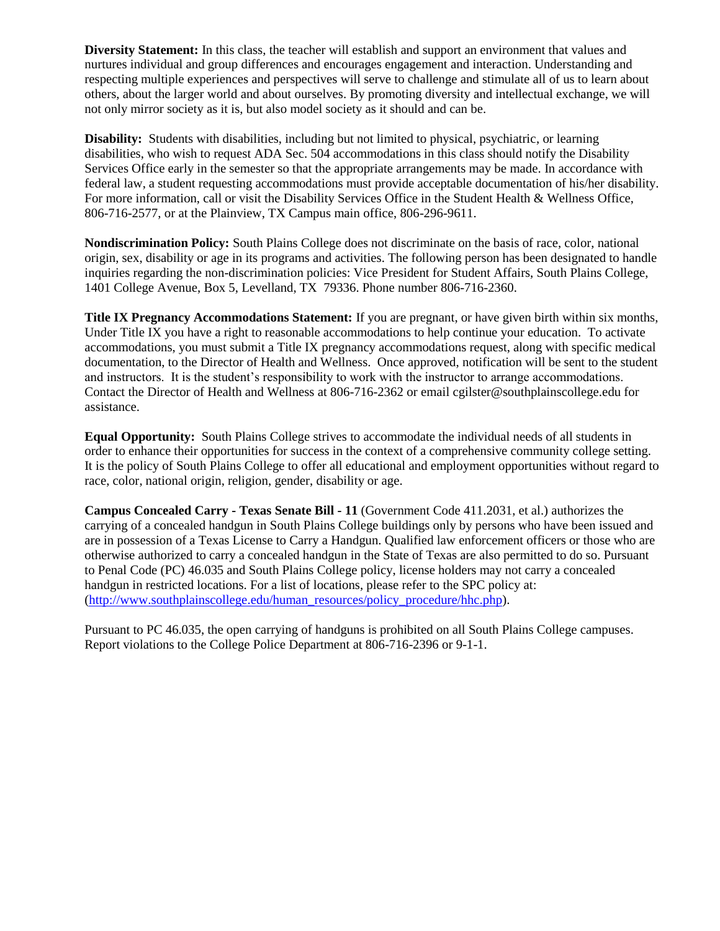**Diversity Statement:** In this class, the teacher will establish and support an environment that values and nurtures individual and group differences and encourages engagement and interaction. Understanding and respecting multiple experiences and perspectives will serve to challenge and stimulate all of us to learn about others, about the larger world and about ourselves. By promoting diversity and intellectual exchange, we will not only mirror society as it is, but also model society as it should and can be.

**Disability:** Students with disabilities, including but not limited to physical, psychiatric, or learning disabilities, who wish to request ADA Sec. 504 accommodations in this class should notify the Disability Services Office early in the semester so that the appropriate arrangements may be made. In accordance with federal law, a student requesting accommodations must provide acceptable documentation of his/her disability. For more information, call or visit the Disability Services Office in the Student Health & Wellness Office, 806-716-2577, or at the Plainview, TX Campus main office, 806-296-9611.

**Nondiscrimination Policy:** South Plains College does not discriminate on the basis of race, color, national origin, sex, disability or age in its programs and activities. The following person has been designated to handle inquiries regarding the non-discrimination policies: Vice President for Student Affairs, South Plains College, 1401 College Avenue, Box 5, Levelland, TX 79336. Phone number 806-716-2360.

**Title IX Pregnancy Accommodations Statement:** If you are pregnant, or have given birth within six months, Under Title IX you have a right to reasonable accommodations to help continue your education. To activate accommodations, you must submit a Title IX pregnancy accommodations request, along with specific medical documentation, to the Director of Health and Wellness. Once approved, notification will be sent to the student and instructors. It is the student's responsibility to work with the instructor to arrange accommodations. Contact the Director of Health and Wellness at 806-716-2362 or email cgilster@southplainscollege.edu for assistance.

**Equal Opportunity:** South Plains College strives to accommodate the individual needs of all students in order to enhance their opportunities for success in the context of a comprehensive community college setting. It is the policy of South Plains College to offer all educational and employment opportunities without regard to race, color, national origin, religion, gender, disability or age.

**Campus Concealed Carry - Texas Senate Bill - 11** (Government Code 411.2031, et al.) authorizes the carrying of a concealed handgun in South Plains College buildings only by persons who have been issued and are in possession of a Texas License to Carry a Handgun. Qualified law enforcement officers or those who are otherwise authorized to carry a concealed handgun in the State of Texas are also permitted to do so. Pursuant to Penal Code (PC) 46.035 and South Plains College policy, license holders may not carry a concealed handgun in restricted locations. For a list of locations, please refer to the SPC policy at: [\(http://www.southplainscollege.edu/human\\_resources/policy\\_procedure/hhc.php\)](http://www.southplainscollege.edu/human_resources/policy_procedure/hhc.php).

Pursuant to PC 46.035, the open carrying of handguns is prohibited on all South Plains College campuses. Report violations to the College Police Department at 806-716-2396 or 9-1-1.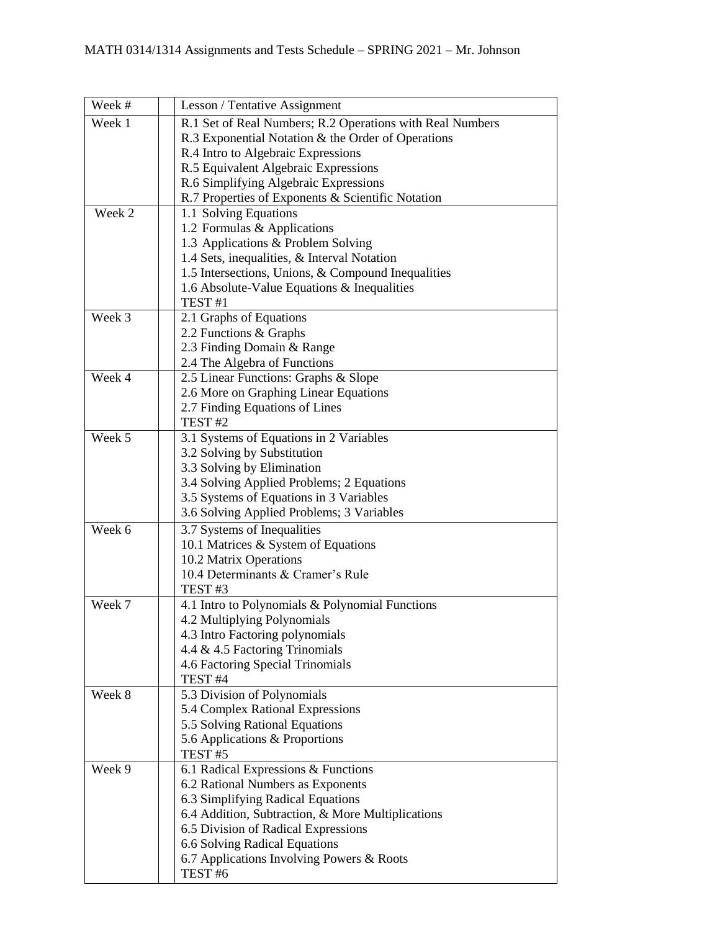| Week # | Lesson / Tentative Assignment                             |
|--------|-----------------------------------------------------------|
| Week 1 | R.1 Set of Real Numbers; R.2 Operations with Real Numbers |
|        | R.3 Exponential Notation & the Order of Operations        |
|        | R.4 Intro to Algebraic Expressions                        |
|        | R.5 Equivalent Algebraic Expressions                      |
|        | R.6 Simplifying Algebraic Expressions                     |
|        | R.7 Properties of Exponents & Scientific Notation         |
| Week 2 | 1.1 Solving Equations                                     |
|        | 1.2 Formulas & Applications                               |
|        | 1.3 Applications & Problem Solving                        |
|        | 1.4 Sets, inequalities, & Interval Notation               |
|        | 1.5 Intersections, Unions, & Compound Inequalities        |
|        | 1.6 Absolute-Value Equations $\&$ Inequalities            |
|        | TEST <sub>#1</sub>                                        |
| Week 3 | 2.1 Graphs of Equations                                   |
|        | 2.2 Functions & Graphs                                    |
|        | 2.3 Finding Domain & Range                                |
|        | 2.4 The Algebra of Functions                              |
| Week 4 | 2.5 Linear Functions: Graphs & Slope                      |
|        | 2.6 More on Graphing Linear Equations                     |
|        | 2.7 Finding Equations of Lines                            |
|        | TEST <sub>#2</sub>                                        |
| Week 5 | 3.1 Systems of Equations in 2 Variables                   |
|        | 3.2 Solving by Substitution                               |
|        | 3.3 Solving by Elimination                                |
|        | 3.4 Solving Applied Problems; 2 Equations                 |
|        | 3.5 Systems of Equations in 3 Variables                   |
|        | 3.6 Solving Applied Problems; 3 Variables                 |
| Week 6 | 3.7 Systems of Inequalities                               |
|        | 10.1 Matrices & System of Equations                       |
|        | 10.2 Matrix Operations                                    |
|        | 10.4 Determinants & Cramer's Rule                         |
|        | TEST <sub>#3</sub>                                        |
| Week 7 | 4.1 Intro to Polynomials & Polynomial Functions           |
|        | 4.2 Multiplying Polynomials                               |
|        | 4.3 Intro Factoring polynomials                           |
|        | 4.4 & 4.5 Factoring Trinomials                            |
|        | 4.6 Factoring Special Trinomials                          |
|        | TEST <sub>#4</sub>                                        |
| Week 8 | 5.3 Division of Polynomials                               |
|        | 5.4 Complex Rational Expressions                          |
|        | 5.5 Solving Rational Equations                            |
|        | 5.6 Applications & Proportions                            |
|        | TEST <sub>#5</sub>                                        |
| Week 9 | 6.1 Radical Expressions & Functions                       |
|        | 6.2 Rational Numbers as Exponents                         |
|        | 6.3 Simplifying Radical Equations                         |
|        | 6.4 Addition, Subtraction, & More Multiplications         |
|        | 6.5 Division of Radical Expressions                       |
|        | 6.6 Solving Radical Equations                             |
|        | 6.7 Applications Involving Powers & Roots                 |
|        | TEST <sub>#6</sub>                                        |